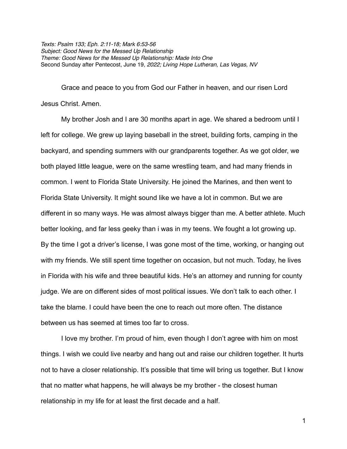*Texts: Psalm 133; Eph. 2:11-18; Mark 6:53-56 Subject: Good News for the Messed Up Relationship Theme: Good News for the Messed Up Relationship: Made Into One* Second Sunday after Pentecost, June 19*, 2022; Living Hope Lutheran, Las Vegas, NV*

Grace and peace to you from God our Father in heaven, and our risen Lord Jesus Christ. Amen.

My brother Josh and I are 30 months apart in age. We shared a bedroom until I left for college. We grew up laying baseball in the street, building forts, camping in the backyard, and spending summers with our grandparents together. As we got older, we both played little league, were on the same wrestling team, and had many friends in common. I went to Florida State University. He joined the Marines, and then went to Florida State University. It might sound like we have a lot in common. But we are different in so many ways. He was almost always bigger than me. A better athlete. Much better looking, and far less geeky than i was in my teens. We fought a lot growing up. By the time I got a driver's license, I was gone most of the time, working, or hanging out with my friends. We still spent time together on occasion, but not much. Today, he lives in Florida with his wife and three beautiful kids. He's an attorney and running for county judge. We are on different sides of most political issues. We don't talk to each other. I take the blame. I could have been the one to reach out more often. The distance between us has seemed at times too far to cross.

I love my brother. I'm proud of him, even though I don't agree with him on most things. I wish we could live nearby and hang out and raise our children together. It hurts not to have a closer relationship. It's possible that time will bring us together. But I know that no matter what happens, he will always be my brother - the closest human relationship in my life for at least the first decade and a half.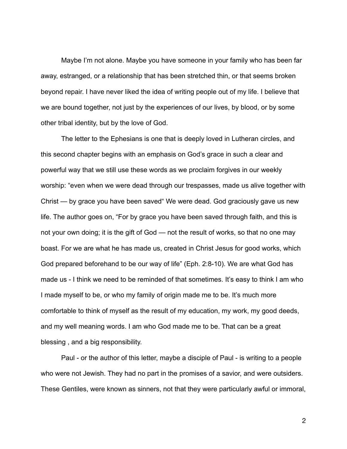Maybe I'm not alone. Maybe you have someone in your family who has been far away, estranged, or a relationship that has been stretched thin, or that seems broken beyond repair. I have never liked the idea of writing people out of my life. I believe that we are bound together, not just by the experiences of our lives, by blood, or by some other tribal identity, but by the love of God.

The letter to the Ephesians is one that is deeply loved in Lutheran circles, and this second chapter begins with an emphasis on God's grace in such a clear and powerful way that we still use these words as we proclaim forgives in our weekly worship: "even when we were dead through our trespasses, made us alive together with Christ — by grace you have been saved" We were dead. God graciously gave us new life. The author goes on, "For by grace you have been saved through faith, and this is not your own doing; it is the gift of God — not the result of works, so that no one may boast. For we are what he has made us, created in Christ Jesus for good works, which God prepared beforehand to be our way of life" (Eph. 2:8-10). We are what God has made us - I think we need to be reminded of that sometimes. It's easy to think I am who I made myself to be, or who my family of origin made me to be. It's much more comfortable to think of myself as the result of my education, my work, my good deeds, and my well meaning words. I am who God made me to be. That can be a great blessing , and a big responsibility.

Paul - or the author of this letter, maybe a disciple of Paul - is writing to a people who were not Jewish. They had no part in the promises of a savior, and were outsiders. These Gentiles, were known as sinners, not that they were particularly awful or immoral,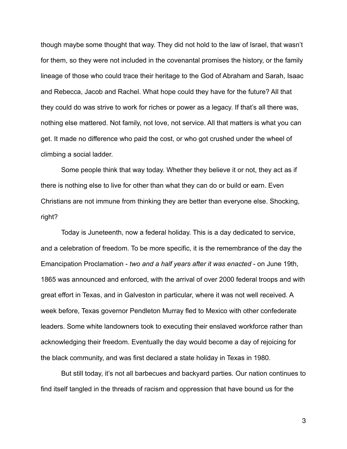though maybe some thought that way. They did not hold to the law of Israel, that wasn't for them, so they were not included in the covenantal promises the history, or the family lineage of those who could trace their heritage to the God of Abraham and Sarah, Isaac and Rebecca, Jacob and Rachel. What hope could they have for the future? All that they could do was strive to work for riches or power as a legacy. If that's all there was, nothing else mattered. Not family, not love, not service. All that matters is what you can get. It made no difference who paid the cost, or who got crushed under the wheel of climbing a social ladder.

Some people think that way today. Whether they believe it or not, they act as if there is nothing else to live for other than what they can do or build or earn. Even Christians are not immune from thinking they are better than everyone else. Shocking, right?

Today is Juneteenth, now a federal holiday. This is a day dedicated to service, and a celebration of freedom. To be more specific, it is the remembrance of the day the Emancipation Proclamation - *two and a half years after it was enacted* - on June 19th, 1865 was announced and enforced, with the arrival of over 2000 federal troops and with great effort in Texas, and in Galveston in particular, where it was not well received. A week before, Texas governor Pendleton Murray fled to Mexico with other confederate leaders. Some white landowners took to executing their enslaved workforce rather than acknowledging their freedom. Eventually the day would become a day of rejoicing for the black community, and was first declared a state holiday in Texas in 1980.

But still today, it's not all barbecues and backyard parties. Our nation continues to find itself tangled in the threads of racism and oppression that have bound us for the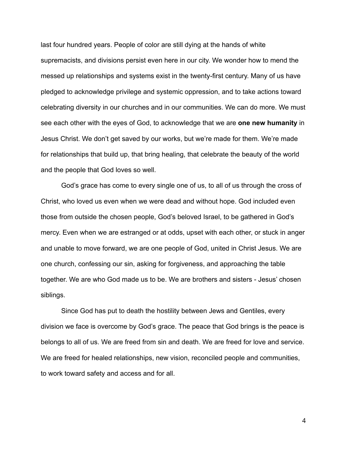last four hundred years. People of color are still dying at the hands of white supremacists, and divisions persist even here in our city. We wonder how to mend the messed up relationships and systems exist in the twenty-first century. Many of us have pledged to acknowledge privilege and systemic oppression, and to take actions toward celebrating diversity in our churches and in our communities. We can do more. We must see each other with the eyes of God, to acknowledge that we are **one new humanity** in Jesus Christ. We don't get saved by our works, but we're made for them. We're made for relationships that build up, that bring healing, that celebrate the beauty of the world and the people that God loves so well.

God's grace has come to every single one of us, to all of us through the cross of Christ, who loved us even when we were dead and without hope. God included even those from outside the chosen people, God's beloved Israel, to be gathered in God's mercy. Even when we are estranged or at odds, upset with each other, or stuck in anger and unable to move forward, we are one people of God, united in Christ Jesus. We are one church, confessing our sin, asking for forgiveness, and approaching the table together. We are who God made us to be. We are brothers and sisters - Jesus' chosen siblings.

Since God has put to death the hostility between Jews and Gentiles, every division we face is overcome by God's grace. The peace that God brings is the peace is belongs to all of us. We are freed from sin and death. We are freed for love and service. We are freed for healed relationships, new vision, reconciled people and communities, to work toward safety and access and for all.